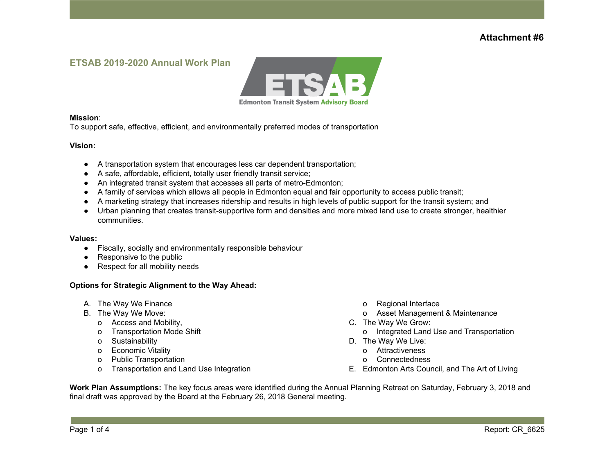### **ETSAB 2019-2020 Annual Work Plan**



#### **Mission**:

To support safe, effective, efficient, and environmentally preferred modes of transportation

#### **Vision:**

- A transportation system that encourages less car dependent transportation;
- A safe, affordable, efficient, totally user friendly transit service;
- An integrated transit system that accesses all parts of metro-Edmonton;
- A family of services which allows all people in Edmonton equal and fair opportunity to access public transit;
- A marketing strategy that increases ridership and results in high levels of public support for the transit system; and
- Urban planning that creates transit-supportive form and densities and more mixed land use to create stronger, healthier communities.

#### **Values:**

- Fiscally, socially and environmentally responsible behaviour
- Responsive to the public
- Respect for all mobility needs

### **Options for Strategic Alignment to the Way Ahead:**

- A. The Way We Finance
- B. The Way We Move:
	- o Access and Mobility,
	- o Transportation Mode Shift
	- o Sustainability
	- o Economic Vitality
	- o Public Transportation
	- o Transportation and Land Use Integration
- o Regional Interface
- o Asset Management & Maintenance
- C. The Way We Grow:
	- o Integrated Land Use and Transportation
- D. The Way We Live:
	- o Attractiveness
	- o Connectedness
- E. Edmonton Arts Council, and The Art of Living

**Work Plan Assumptions:** The key focus areas were identified during the Annual Planning Retreat on Saturday, February 3, 2018 and final draft was approved by the Board at the February 26, 2018 General meeting.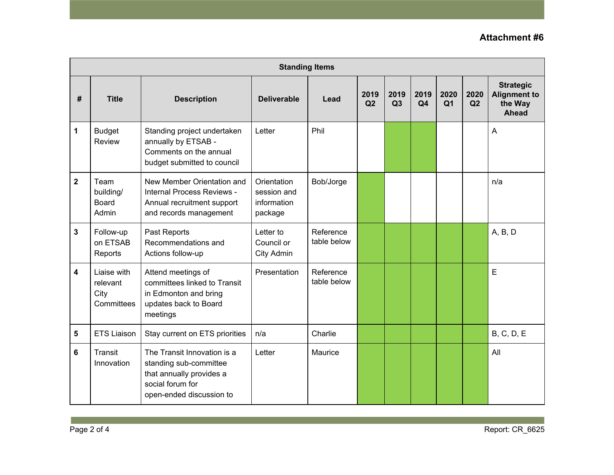| <b>Standing Items</b> |                                               |                                                                                                                                   |                                                      |                          |            |            |                        |                        |            |                                                             |
|-----------------------|-----------------------------------------------|-----------------------------------------------------------------------------------------------------------------------------------|------------------------------------------------------|--------------------------|------------|------------|------------------------|------------------------|------------|-------------------------------------------------------------|
| #                     | <b>Title</b>                                  | <b>Description</b>                                                                                                                | <b>Deliverable</b>                                   | Lead                     | 2019<br>Q2 | 2019<br>Q3 | 2019<br>Q <sub>4</sub> | 2020<br>Q <sub>1</sub> | 2020<br>Q2 | <b>Strategic</b><br><b>Alignment to</b><br>the Way<br>Ahead |
| 1                     | <b>Budget</b><br><b>Review</b>                | Standing project undertaken<br>annually by ETSAB -<br>Comments on the annual<br>budget submitted to council                       | Letter                                               | Phil                     |            |            |                        |                        |            | $\overline{A}$                                              |
| $\mathbf{2}$          | Team<br>building/<br><b>Board</b><br>Admin    | New Member Orientation and<br>Internal Process Reviews -<br>Annual recruitment support<br>and records management                  | Orientation<br>session and<br>information<br>package | Bob/Jorge                |            |            |                        |                        |            | n/a                                                         |
| 3                     | Follow-up<br>on ETSAB<br>Reports              | Past Reports<br>Recommendations and<br>Actions follow-up                                                                          | Letter to<br>Council or<br>City Admin                | Reference<br>table below |            |            |                        |                        |            | A, B, D                                                     |
| 4                     | Liaise with<br>relevant<br>City<br>Committees | Attend meetings of<br>committees linked to Transit<br>in Edmonton and bring<br>updates back to Board<br>meetings                  | Presentation                                         | Reference<br>table below |            |            |                        |                        |            | E                                                           |
| 5                     | <b>ETS Liaison</b>                            | Stay current on ETS priorities                                                                                                    | n/a                                                  | Charlie                  |            |            |                        |                        |            | <b>B, C, D, E</b>                                           |
| 6                     | Transit<br>Innovation                         | The Transit Innovation is a<br>standing sub-committee<br>that annually provides a<br>social forum for<br>open-ended discussion to | Letter                                               | Maurice                  |            |            |                        |                        |            | All                                                         |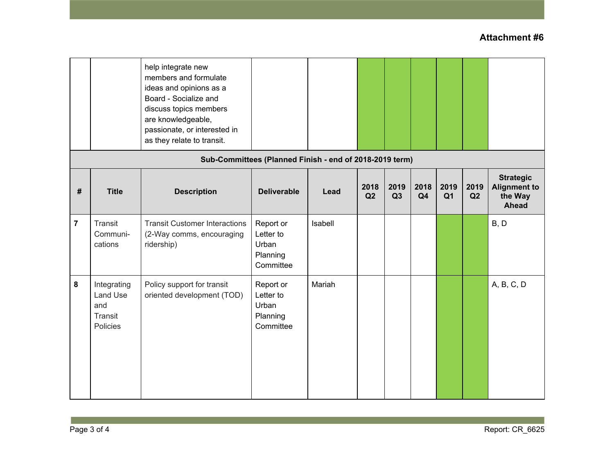|                |                                                         | help integrate new<br>members and formulate<br>ideas and opinions as a<br>Board - Socialize and<br>discuss topics members<br>are knowledgeable,<br>passionate, or interested in<br>as they relate to transit. |                                                          |         |            |            |                        |                        |            |                                                             |
|----------------|---------------------------------------------------------|---------------------------------------------------------------------------------------------------------------------------------------------------------------------------------------------------------------|----------------------------------------------------------|---------|------------|------------|------------------------|------------------------|------------|-------------------------------------------------------------|
|                | Sub-Committees (Planned Finish - end of 2018-2019 term) |                                                                                                                                                                                                               |                                                          |         |            |            |                        |                        |            |                                                             |
| #              | <b>Title</b>                                            | <b>Description</b>                                                                                                                                                                                            | <b>Deliverable</b>                                       | Lead    | 2018<br>Q2 | 2019<br>Q3 | 2018<br>Q <sub>4</sub> | 2019<br>Q <sub>1</sub> | 2019<br>Q2 | <b>Strategic</b><br><b>Alignment to</b><br>the Way<br>Ahead |
| $\overline{7}$ | Transit<br>Communi-<br>cations                          | <b>Transit Customer Interactions</b><br>(2-Way comms, encouraging<br>ridership)                                                                                                                               | Report or<br>Letter to<br>Urban<br>Planning<br>Committee | Isabell |            |            |                        |                        |            | B, D                                                        |
| 8              | Integrating<br>Land Use<br>and<br>Transit<br>Policies   | Policy support for transit<br>oriented development (TOD)                                                                                                                                                      | Report or<br>Letter to<br>Urban<br>Planning<br>Committee | Mariah  |            |            |                        |                        |            | A, B, C, D                                                  |